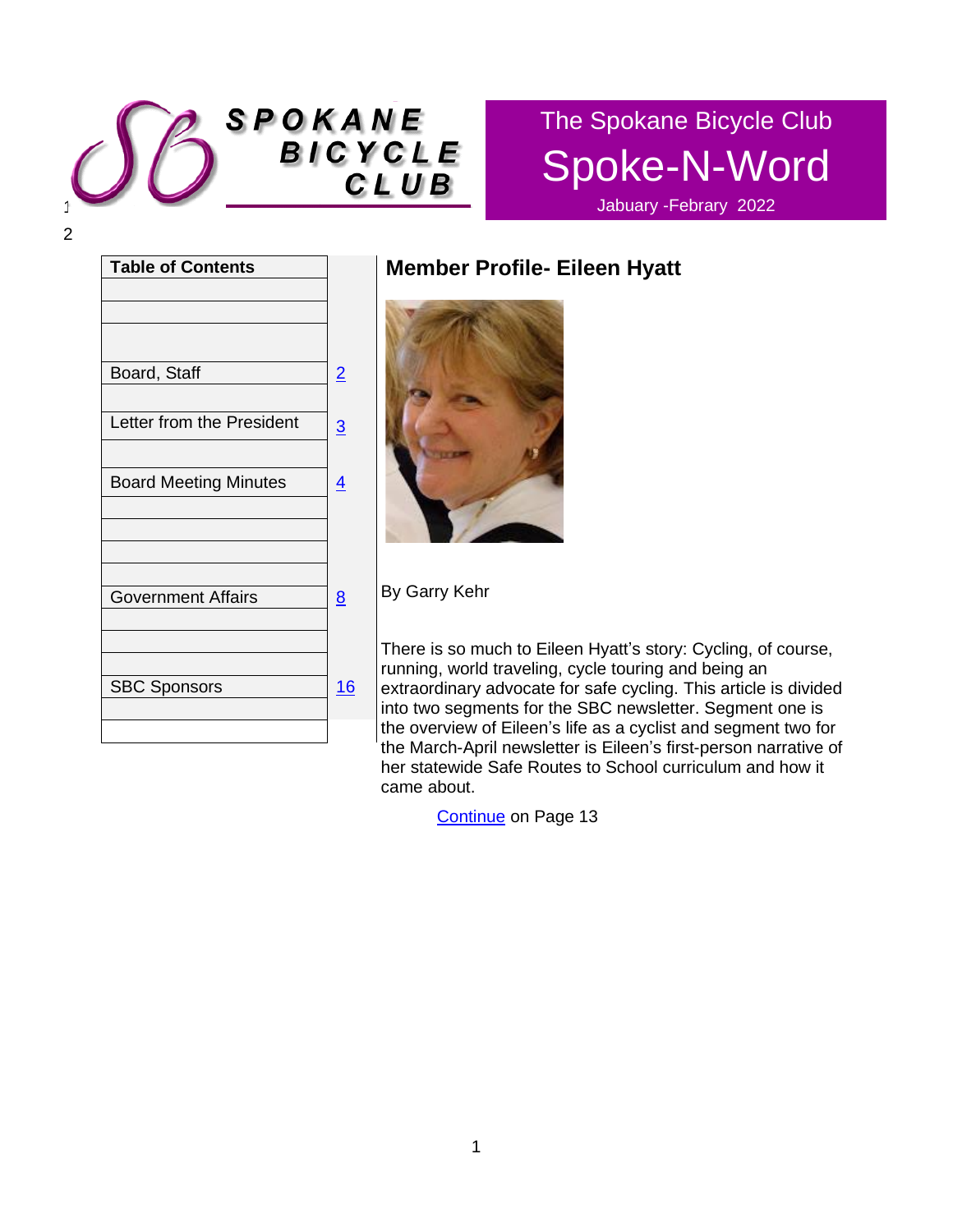

# The Spokane Bicycle Club Spoke-N-Word

Jabuary -Febrary 2022

| <b>Table of Contents</b>     |                |
|------------------------------|----------------|
|                              |                |
|                              |                |
|                              |                |
| Board, Staff                 | $\overline{2}$ |
|                              |                |
| Letter from the President    | $\overline{3}$ |
|                              |                |
| <b>Board Meeting Minutes</b> | <u>4</u>       |
|                              |                |
|                              |                |
|                              |                |
|                              |                |
| <b>Government Affairs</b>    | 8              |
|                              |                |
|                              |                |
| <b>SBC Sponsors</b>          | 16             |
|                              |                |
|                              |                |
|                              |                |

# **Member Profile- Eileen Hyatt**



By Garry Kehr

There is so much to Eileen Hyatt's story: Cycling, of course, running, world traveling, cycle touring and being an extraordinary advocate for safe cycling. This article is divided into two segments for the SBC newsletter. Segment one is the overview of Eileen's life as a cyclist and segment two for the March-April newsletter is Eileen's first-person narrative of her statewide Safe Routes to School curriculum and how it came about.

[Continue](#page-12-0) on Page 13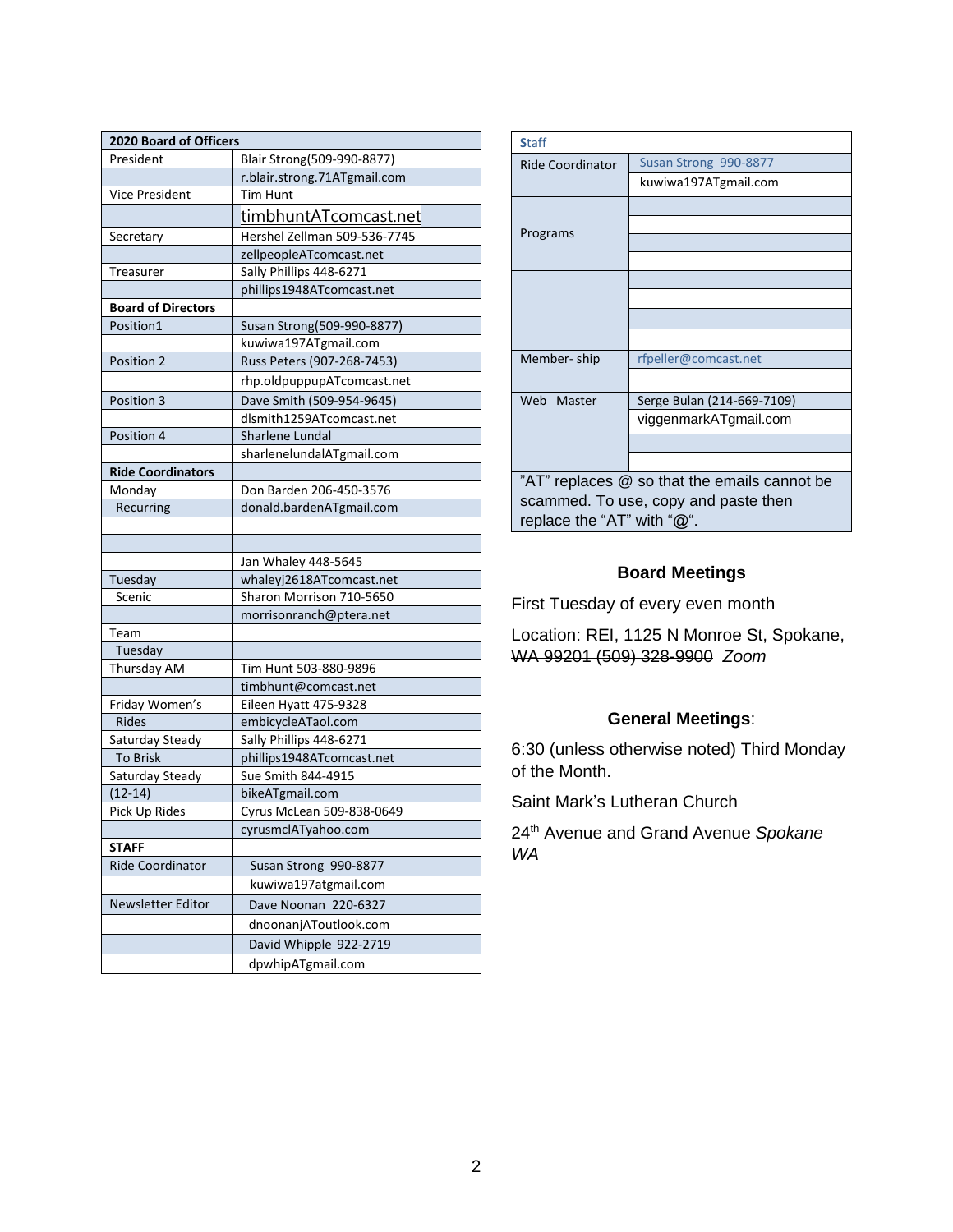| 2020 Board of Officers    |                                               |  |
|---------------------------|-----------------------------------------------|--|
| President                 | Blair Strong(509-990-8877)                    |  |
|                           | r.blair.strong.71ATgmail.com                  |  |
| Vice President            | Tim Hunt                                      |  |
|                           | <u>timbhuntATcomcast.net</u>                  |  |
| Secretary                 | Hershel Zellman 509-536-7745                  |  |
|                           | zellpeopleATcomcast.net                       |  |
| Treasurer                 | Sally Phillips 448-6271                       |  |
|                           | phillips1948ATcomcast.net                     |  |
| <b>Board of Directors</b> |                                               |  |
| Position1                 | Susan Strong(509-990-8877)                    |  |
|                           | kuwiwa197ATgmail.com                          |  |
| Position 2                | Russ Peters (907-268-7453)                    |  |
|                           | rhp.oldpuppupATcomcast.net                    |  |
| Position 3                | Dave Smith (509-954-9645)                     |  |
|                           | dlsmith1259ATcomcast.net                      |  |
| Position 4                | Sharlene Lundal                               |  |
|                           | sharlenelundalATgmail.com                     |  |
| <b>Ride Coordinators</b>  |                                               |  |
| Monday                    | Don Barden 206-450-3576                       |  |
| Recurring                 | donald.bardenATgmail.com                      |  |
|                           |                                               |  |
|                           |                                               |  |
|                           | Jan Whaley 448-5645                           |  |
| Tuesday                   | whaleyj2618ATcomcast.net                      |  |
| Scenic                    | Sharon Morrison 710-5650                      |  |
|                           | morrisonranch@ptera.net                       |  |
| Team                      |                                               |  |
| Tuesday                   |                                               |  |
| Thursday AM               | Tim Hunt 503-880-9896                         |  |
| Friday Women's            | timbhunt@comcast.net<br>Eileen Hyatt 475-9328 |  |
| <b>Rides</b>              | embicycleATaol.com                            |  |
| Saturday Steady           | Sally Phillips 448-6271                       |  |
| <b>To Brisk</b>           | phillips1948ATcomcast.net                     |  |
| Saturday Steady           | Sue Smith 844-4915                            |  |
| $(12-14)$                 | bikeATgmail.com                               |  |
| Pick Up Rides             | Cyrus McLean 509-838-0649                     |  |
|                           | cyrusmclATyahoo.com                           |  |
| <b>STAFF</b>              |                                               |  |
| <b>Ride Coordinator</b>   | Susan Strong 990-8877                         |  |
|                           | kuwiwa197atgmail.com                          |  |
| Newsletter Editor         | Dave Noonan 220-6327                          |  |
|                           | dnoonanjAToutlook.com                         |  |
|                           | David Whipple 922-2719                        |  |
|                           |                                               |  |
|                           | dpwhipATgmail.com                             |  |

| <b>Staff</b>                                 |                            |  |
|----------------------------------------------|----------------------------|--|
| Ride Coordinator                             | Susan Strong 990-8877      |  |
|                                              | kuwiwa197ATgmail.com       |  |
| Programs                                     |                            |  |
|                                              |                            |  |
|                                              |                            |  |
|                                              |                            |  |
|                                              |                            |  |
|                                              |                            |  |
|                                              |                            |  |
|                                              |                            |  |
| Member-ship                                  | rfpeller@comcast.net       |  |
|                                              |                            |  |
| Web Master                                   | Serge Bulan (214-669-7109) |  |
|                                              | viggenmarkATgmail.com      |  |
|                                              |                            |  |
|                                              |                            |  |
| "AT" replaces @ so that the emails cannot be |                            |  |
| scammed. To use, copy and paste then         |                            |  |
| replace the "AT" with "@".                   |                            |  |

### **Board Meetings**

First Tuesday of every even month

Location: REI, 1125 N Monroe St, Spokane, WA 99201 (509) 328-9900 *Zoom*

### **General Meetings**:

6:30 (unless otherwise noted) Third Monday of the Month.

Saint Mark's Lutheran Church

24th Avenue and Grand Avenue *Spokane WA*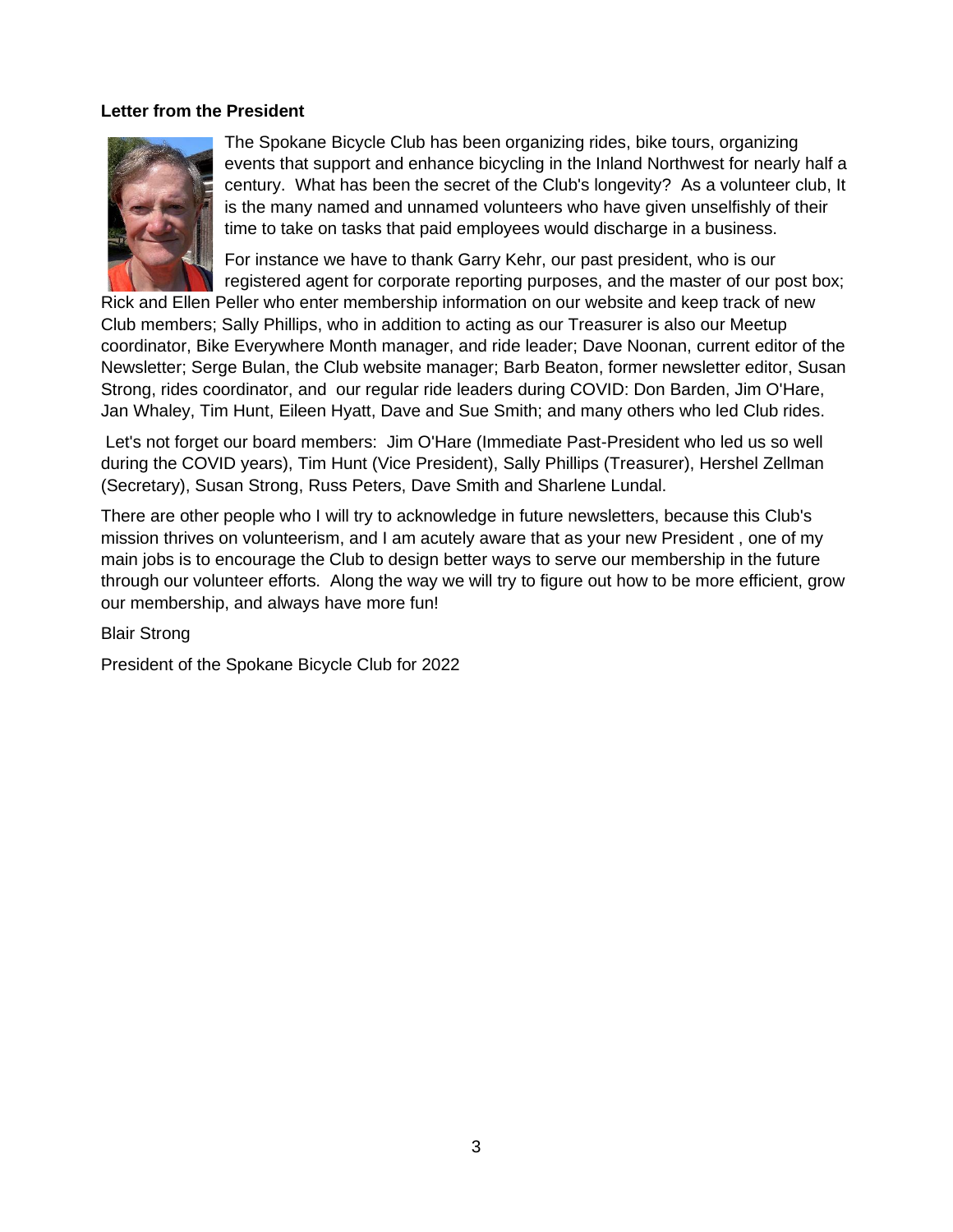### <span id="page-2-0"></span>**Letter from the President**



The Spokane Bicycle Club has been organizing rides, bike tours, organizing events that support and enhance bicycling in the Inland Northwest for nearly half a century. What has been the secret of the Club's longevity? As a volunteer club, It is the many named and unnamed volunteers who have given unselfishly of their time to take on tasks that paid employees would discharge in a business.

For instance we have to thank Garry Kehr, our past president, who is our registered agent for corporate reporting purposes, and the master of our post box;

Rick and Ellen Peller who enter membership information on our website and keep track of new Club members; Sally Phillips, who in addition to acting as our Treasurer is also our Meetup coordinator, Bike Everywhere Month manager, and ride leader; Dave Noonan, current editor of the Newsletter; Serge Bulan, the Club website manager; Barb Beaton, former newsletter editor, Susan Strong, rides coordinator, and our regular ride leaders during COVID: Don Barden, Jim O'Hare, Jan Whaley, Tim Hunt, Eileen Hyatt, Dave and Sue Smith; and many others who led Club rides.

Let's not forget our board members: Jim O'Hare (Immediate Past-President who led us so well during the COVID years), Tim Hunt (Vice President), Sally Phillips (Treasurer), Hershel Zellman (Secretary), Susan Strong, Russ Peters, Dave Smith and Sharlene Lundal.

There are other people who I will try to acknowledge in future newsletters, because this Club's mission thrives on volunteerism, and I am acutely aware that as your new President , one of my main jobs is to encourage the Club to design better ways to serve our membership in the future through our volunteer efforts. Along the way we will try to figure out how to be more efficient, grow our membership, and always have more fun!

Blair Strong

President of the Spokane Bicycle Club for 2022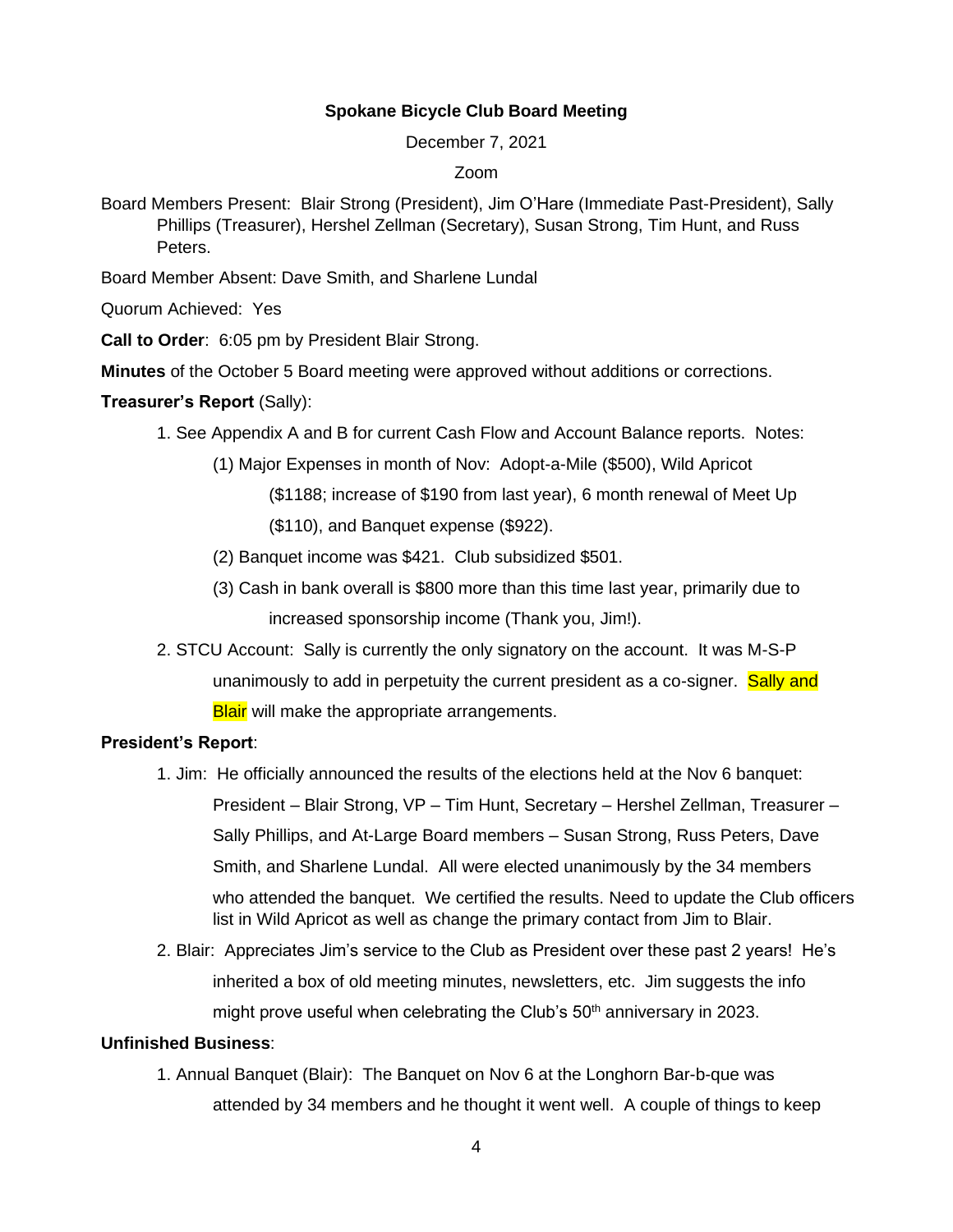### **Spokane Bicycle Club Board Meeting**

December 7, 2021

#### Zoom

<span id="page-3-0"></span>Board Members Present: Blair Strong (President), Jim O'Hare (Immediate Past-President), Sally Phillips (Treasurer), Hershel Zellman (Secretary), Susan Strong, Tim Hunt, and Russ Peters.

Board Member Absent: Dave Smith, and Sharlene Lundal

Quorum Achieved: Yes

**Call to Order**: 6:05 pm by President Blair Strong.

**Minutes** of the October 5 Board meeting were approved without additions or corrections.

### **Treasurer's Report** (Sally):

- 1. See Appendix A and B for current Cash Flow and Account Balance reports. Notes:
	- (1) Major Expenses in month of Nov: Adopt-a-Mile (\$500), Wild Apricot
		- (\$1188; increase of \$190 from last year), 6 month renewal of Meet Up

(\$110), and Banquet expense (\$922).

- (2) Banquet income was \$421. Club subsidized \$501.
- (3) Cash in bank overall is \$800 more than this time last year, primarily due to increased sponsorship income (Thank you, Jim!).
- 2. STCU Account: Sally is currently the only signatory on the account. It was M-S-P unanimously to add in perpetuity the current president as a co-signer. **Sally and Blair** will make the appropriate arrangements.

### **President's Report**:

- 1. Jim: He officially announced the results of the elections held at the Nov 6 banquet: President – Blair Strong, VP – Tim Hunt, Secretary – Hershel Zellman, Treasurer – Sally Phillips, and At-Large Board members – Susan Strong, Russ Peters, Dave Smith, and Sharlene Lundal. All were elected unanimously by the 34 members who attended the banquet. We certified the results. Need to update the Club officers list in Wild Apricot as well as change the primary contact from Jim to Blair.
- 2. Blair: Appreciates Jim's service to the Club as President over these past 2 years! He's inherited a box of old meeting minutes, newsletters, etc. Jim suggests the info might prove useful when celebrating the Club's  $50<sup>th</sup>$  anniversary in 2023.

### **Unfinished Business**:

1. Annual Banquet (Blair): The Banquet on Nov 6 at the Longhorn Bar-b-que was attended by 34 members and he thought it went well. A couple of things to keep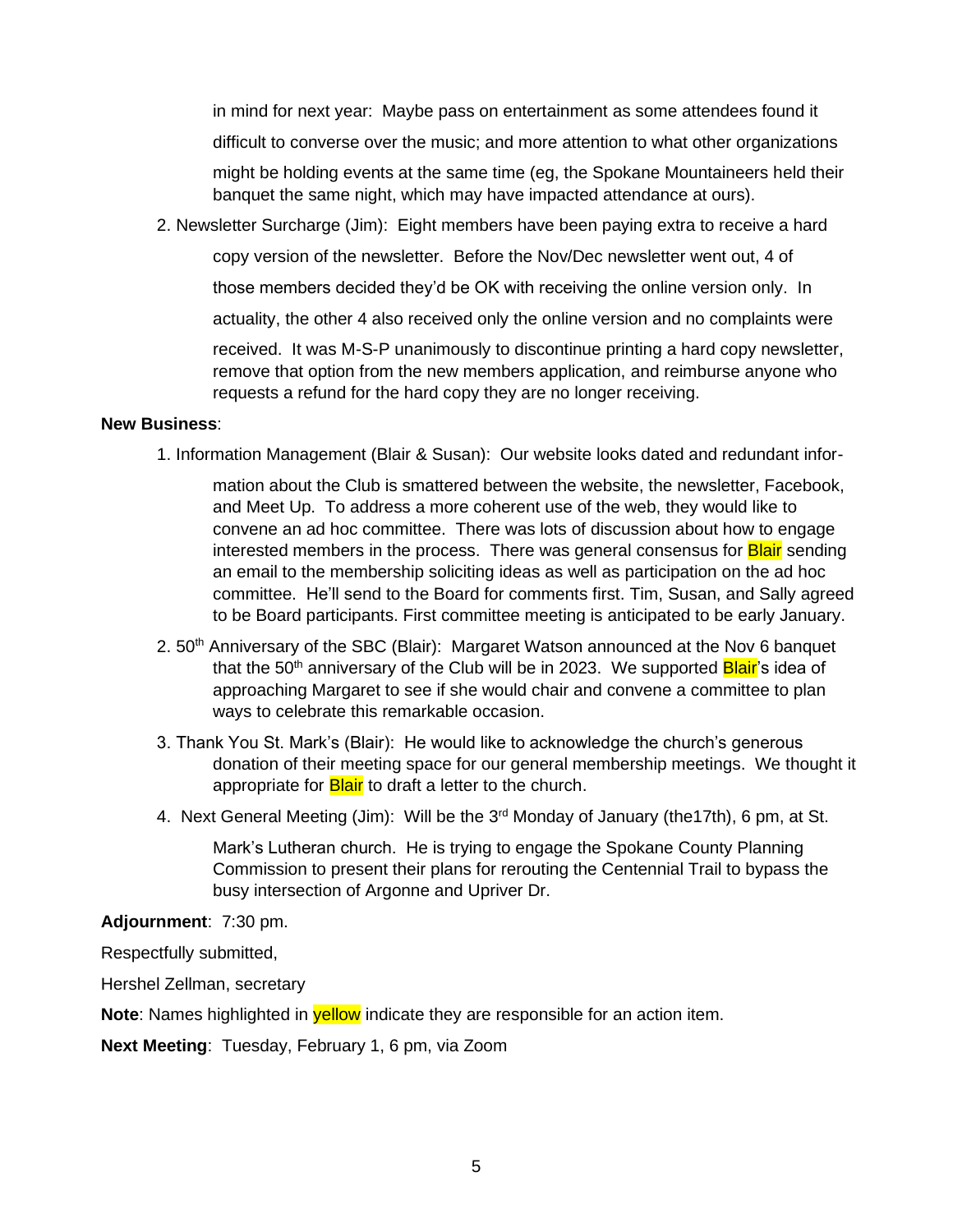in mind for next year: Maybe pass on entertainment as some attendees found it

difficult to converse over the music; and more attention to what other organizations

might be holding events at the same time (eg, the Spokane Mountaineers held their banquet the same night, which may have impacted attendance at ours).

2. Newsletter Surcharge (Jim): Eight members have been paying extra to receive a hard

copy version of the newsletter. Before the Nov/Dec newsletter went out, 4 of

those members decided they'd be OK with receiving the online version only. In

actuality, the other 4 also received only the online version and no complaints were

received. It was M-S-P unanimously to discontinue printing a hard copy newsletter, remove that option from the new members application, and reimburse anyone who requests a refund for the hard copy they are no longer receiving.

### **New Business**:

1. Information Management (Blair & Susan): Our website looks dated and redundant infor-

mation about the Club is smattered between the website, the newsletter, Facebook, and Meet Up. To address a more coherent use of the web, they would like to convene an ad hoc committee. There was lots of discussion about how to engage interested members in the process. There was general consensus for **Blair** sending an email to the membership soliciting ideas as well as participation on the ad hoc committee. He'll send to the Board for comments first. Tim, Susan, and Sally agreed to be Board participants. First committee meeting is anticipated to be early January.

- 2.  $50<sup>th</sup>$  Anniversary of the SBC (Blair): Margaret Watson announced at the Nov 6 banquet that the 50<sup>th</sup> anniversary of the Club will be in 2023. We supported **Blair**'s idea of approaching Margaret to see if she would chair and convene a committee to plan ways to celebrate this remarkable occasion.
- 3. Thank You St. Mark's (Blair): He would like to acknowledge the church's generous donation of their meeting space for our general membership meetings. We thought it appropriate for **Blair** to draft a letter to the church.
- 4. Next General Meeting (Jim): Will be the 3<sup>rd</sup> Monday of January (the17th), 6 pm, at St.

Mark's Lutheran church. He is trying to engage the Spokane County Planning Commission to present their plans for rerouting the Centennial Trail to bypass the busy intersection of Argonne and Upriver Dr.

### **Adjournment**: 7:30 pm.

Respectfully submitted,

Hershel Zellman, secretary

**Note**: Names highlighted in **yellow** indicate they are responsible for an action item.

**Next Meeting**: Tuesday, February 1, 6 pm, via Zoom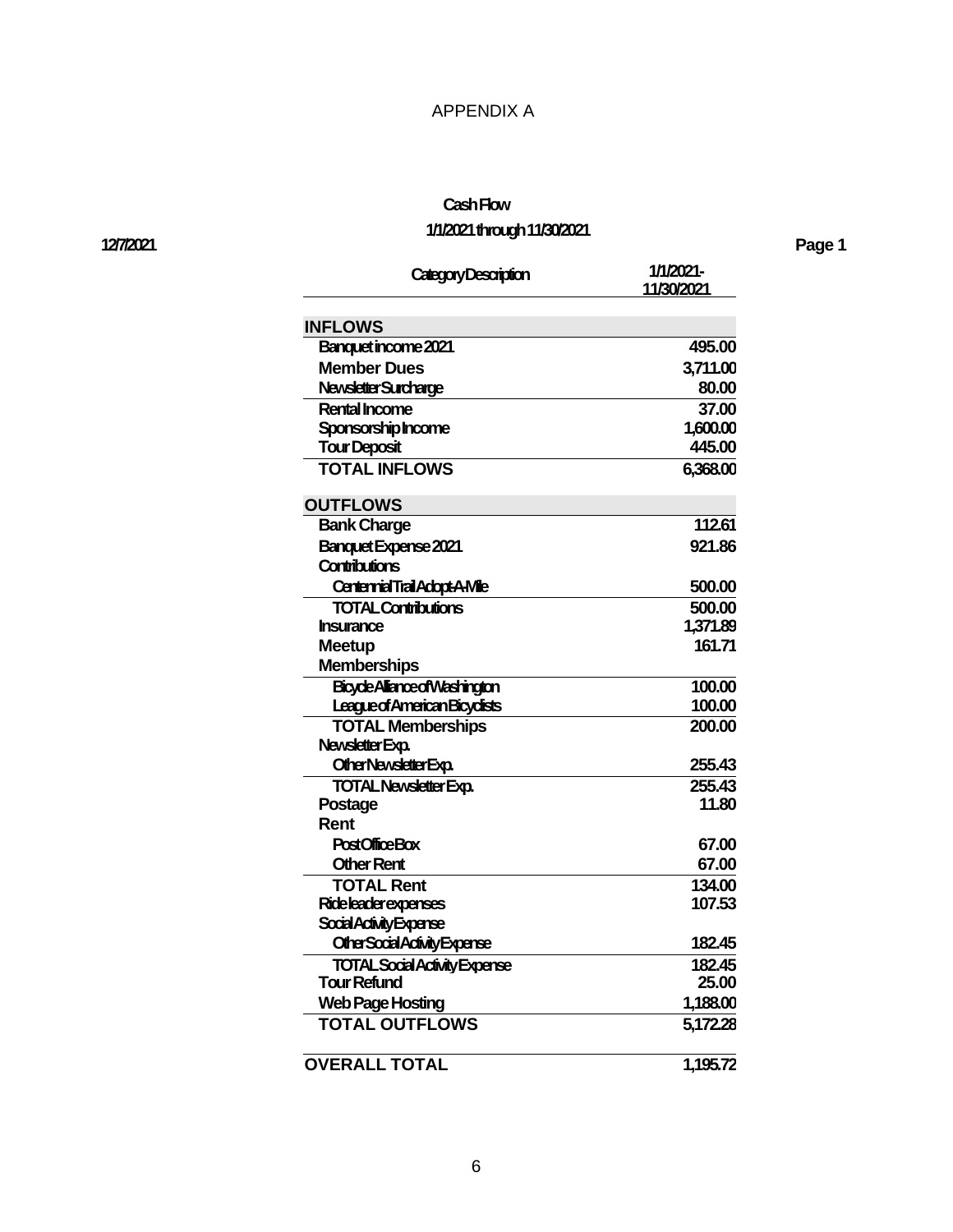### APPENDIX A

# **Cash Flow**

# **1/1/2021 through 11/30/2021**

| Category Description                   | 1/1/2021-<br>11/30/2021 |
|----------------------------------------|-------------------------|
| <b>INFLOWS</b>                         |                         |
| Banquet income 2021                    | 495.00                  |
| <b>Member Dues</b>                     | 3,711.00                |
| Newsletter Surcharge                   | 80.00                   |
| <b>Rental Income</b>                   | 37.00                   |
| Sponsorship Income                     | 1,600.00                |
| <b>Tour Deposit</b>                    | 445.00                  |
| <b>TOTAL INFLOWS</b>                   | 6,368.00                |
| <b>OUTFLOWS</b>                        |                         |
| <b>Bank Charge</b>                     | 112.61                  |
| <b>Banquet Expense 2021</b>            | 921.86                  |
| <b>Contributions</b>                   |                         |
| <b>Centennial Trail Adopt-A-Mile</b>   | 500.00                  |
| <b>TOTAL Contributions</b>             | 500.00                  |
| <b>Insurance</b>                       | 1,371.89                |
| Meetup                                 | 161.71                  |
| <b>Memberships</b>                     |                         |
| BicycleAlianceofWashington             | 100.00                  |
| League of American Bicyclists          | 100.00                  |
| <b>TOTAL Memberships</b>               | 200.00                  |
| Newsletter Exp.                        |                         |
| Other Newsletter Exp.                  | 255.43                  |
| <b>TOTAL Newsletter Exp.</b>           | 255.43                  |
| Postage                                | 11.80                   |
| Rent                                   |                         |
| <b>PostOfficeBox</b>                   | 67.00                   |
| <b>Other Rent</b><br><b>TOTAL Rent</b> | 67.00                   |
| <b>Rideleaderexpenses</b>              | 134.00<br>107.53        |
| Social Activity Expense                |                         |
| Other Social Activity Expense          | 182.45                  |
| <b>TOTAL Social Activity Expense</b>   | 182.45                  |
| Tour Refund                            | 25.00                   |
| <b>Web Page Hosting</b>                | 1,188.00                |
| <b>TOTAL OUTFLOWS</b>                  | 5,172.28                |
|                                        |                         |
| <b>OVERALL TOTAL</b>                   | 1,195.72                |

#### **12/7/2021 Page 1**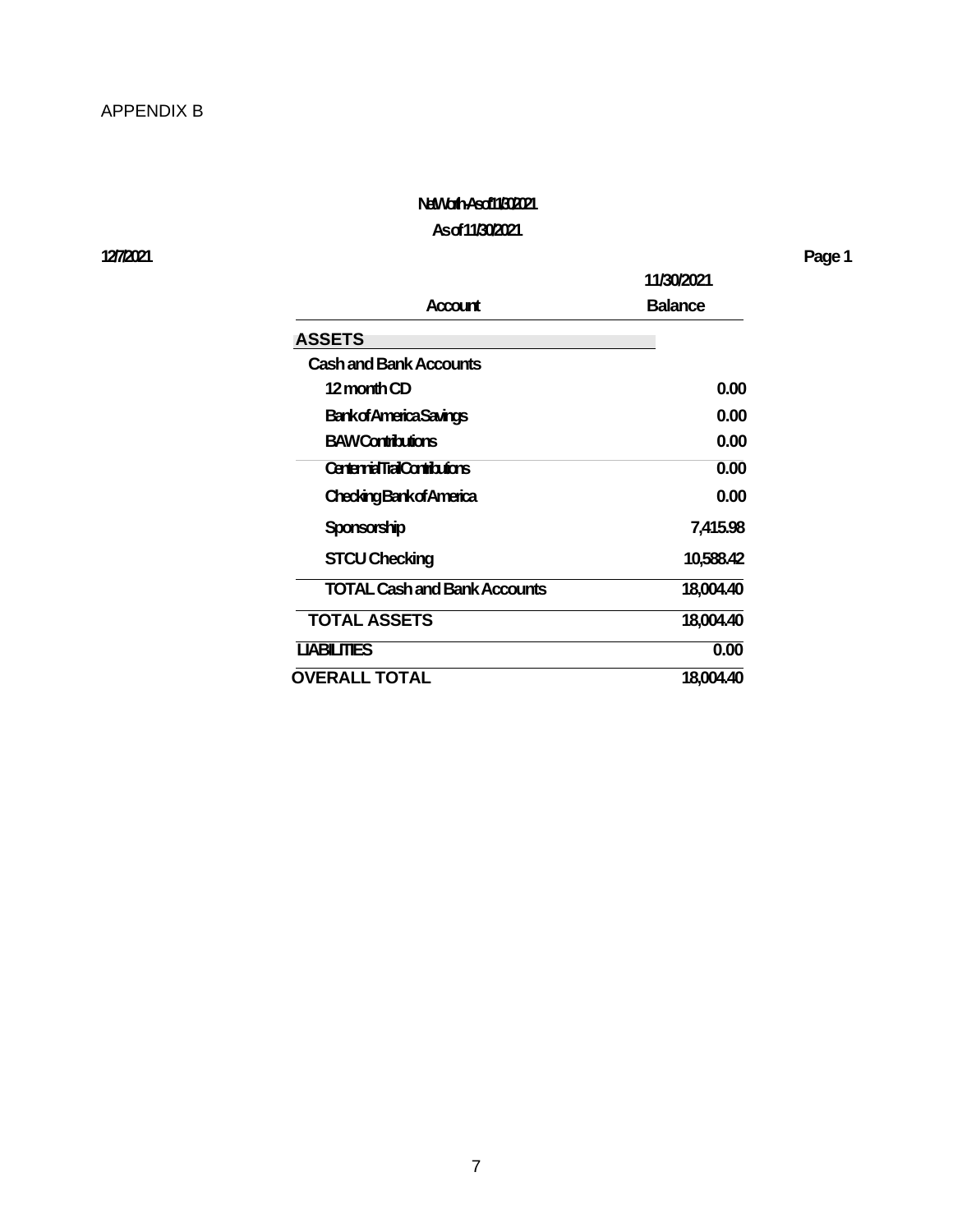# **Net Worth -As of 11/30/2021**

# **As of 11/30/2021**

**12/7/2021 Page 1**

|                                     | 11/30/2021     |  |
|-------------------------------------|----------------|--|
| Account                             | <b>Balance</b> |  |
| <b>ASSETS</b>                       |                |  |
| <b>Cash and Bank Accounts</b>       |                |  |
| 12 month CD                         | 0.00           |  |
| <b>Bankof America Savings</b>       | 0.00           |  |
| <b>BAWContributions</b>             | 0.00           |  |
| <b>CentennialTrailContributions</b> | 0.00           |  |
| <b>CheckingBankofAmerica</b>        | 0.00           |  |
| Sponsorship                         | 7,415.98       |  |
| <b>STCU Checking</b>                | 10,588.42      |  |
| <b>TOTAL Cash and Bank Accounts</b> | 18,004.40      |  |
| <b>TOTAL ASSETS</b>                 | 18,004.40      |  |
| <b>LIABILITIES</b>                  | 0.00           |  |
| <b>OVERALL TOTAL</b>                | 18,004.40      |  |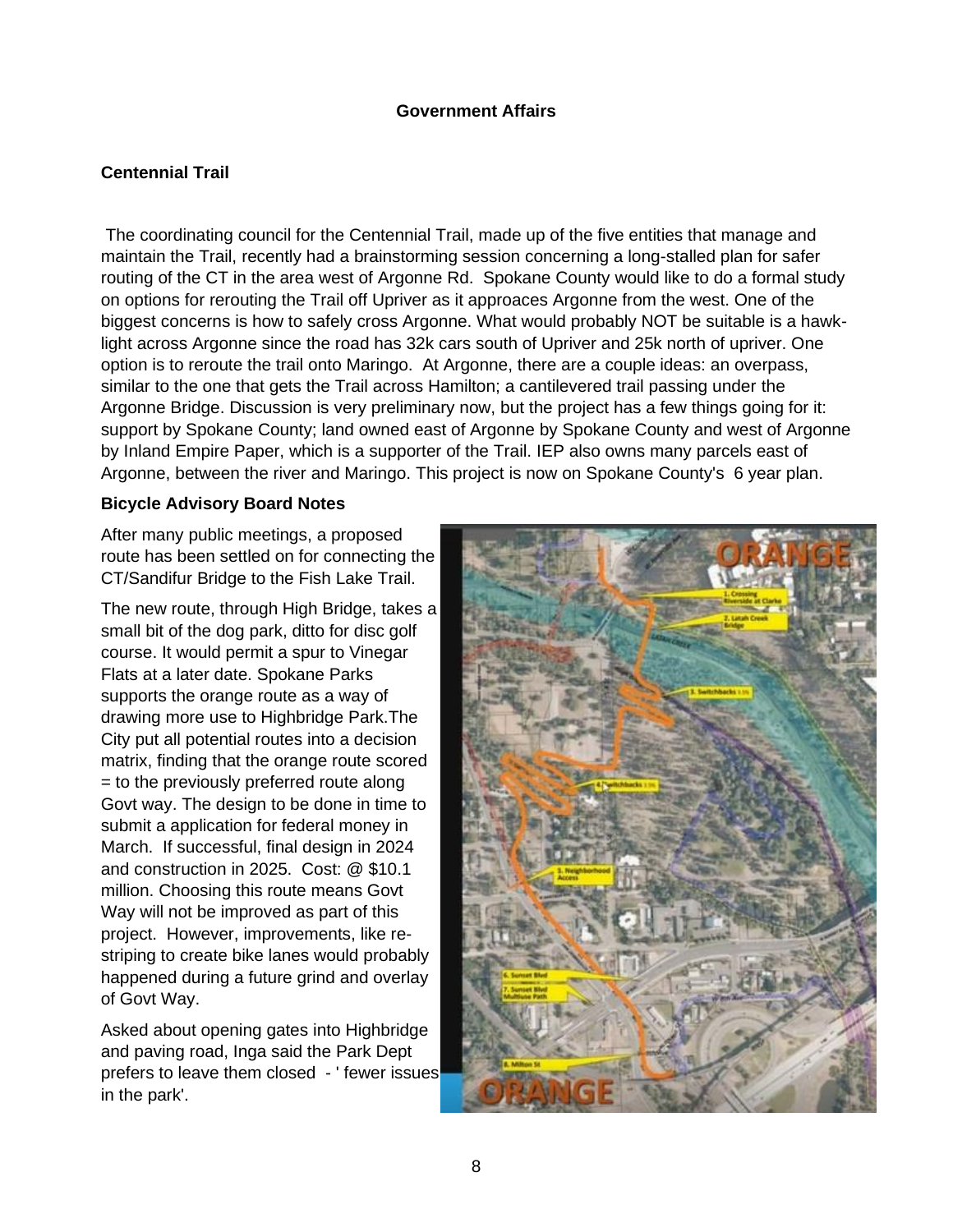### **Government Affairs**

# **Centennial Trail**

The coordinating council for the Centennial Trail, made up of the five entities that manage and maintain the Trail, recently had a brainstorming session concerning a long-stalled plan for safer routing of the CT in the area west of Argonne Rd. Spokane County would like to do a formal study on options for rerouting the Trail off Upriver as it approaces Argonne from the west. One of the biggest concerns is how to safely cross Argonne. What would probably NOT be suitable is a hawklight across Argonne since the road has 32k cars south of Upriver and 25k north of upriver. One option is to reroute the trail onto Maringo. At Argonne, there are a couple ideas: an overpass, similar to the one that gets the Trail across Hamilton; a cantilevered trail passing under the Argonne Bridge. Discussion is very preliminary now, but the project has a few things going for it: support by Spokane County; land owned east of Argonne by Spokane County and west of Argonne by Inland Empire Paper, which is a supporter of the Trail. IEP also owns many parcels east of Argonne, between the river and Maringo. This project is now on Spokane County's 6 year plan.

### **Bicycle Advisory Board Notes**

After many public meetings, a proposed route has been settled on for connecting the CT/Sandifur Bridge to the Fish Lake Trail.

The new route, through High Bridge, takes a small bit of the dog park, ditto for disc golf course. It would permit a spur to Vinegar Flats at a later date. Spokane Parks supports the orange route as a way of drawing more use to Highbridge Park.The City put all potential routes into a decision matrix, finding that the orange route scored = to the previously preferred route along Govt way. The design to be done in time to submit a application for federal money in March. If successful, final design in 2024 and construction in 2025. Cost: @ \$10.1 million. Choosing this route means Govt Way will not be improved as part of this project. However, improvements, like restriping to create bike lanes would probably happened during a future grind and overlay of Govt Way.

Asked about opening gates into Highbridge and paving road, Inga said the Park Dept prefers to leave them closed - ' fewer issues in the park'.

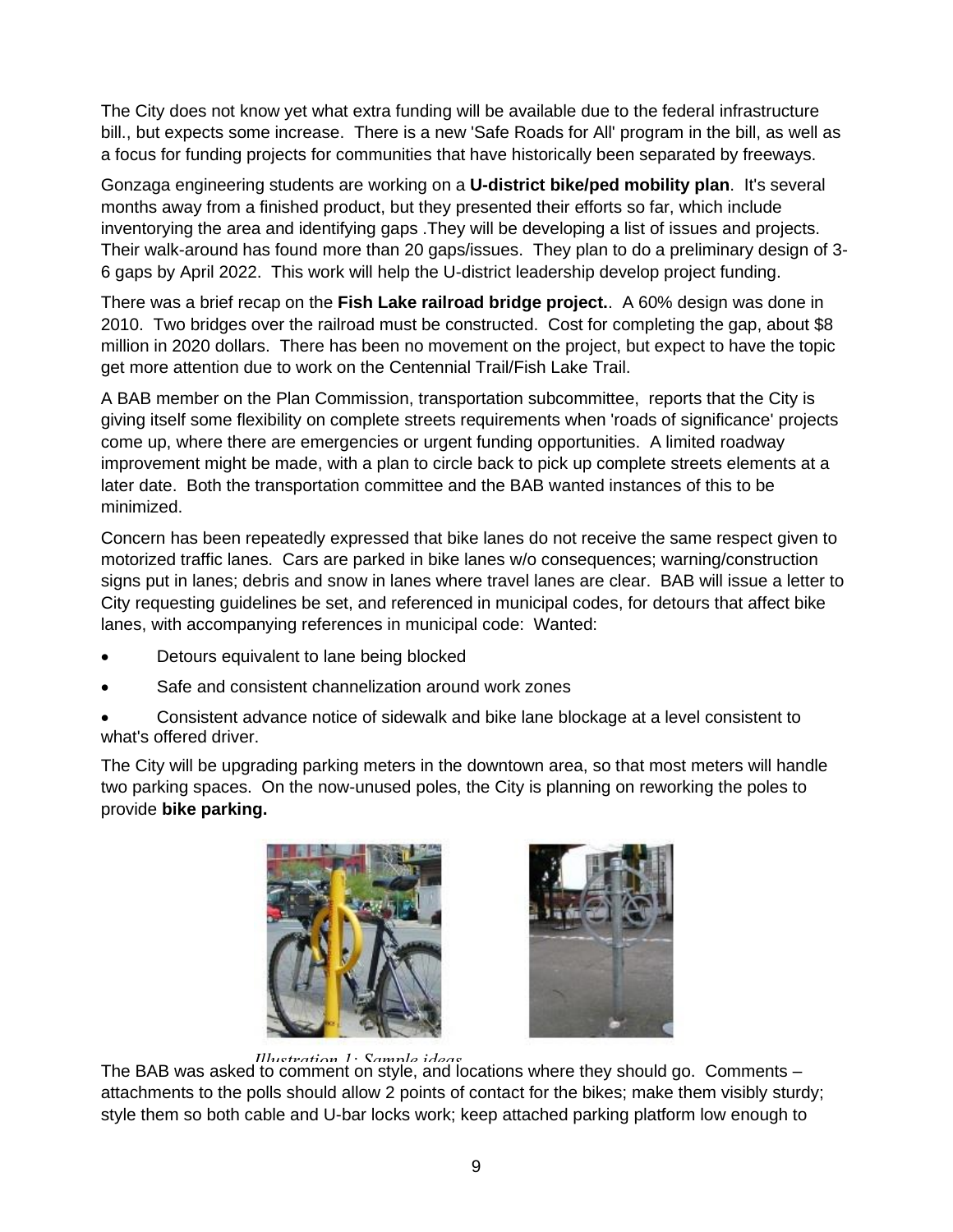The City does not know yet what extra funding will be available due to the federal infrastructure bill., but expects some increase. There is a new 'Safe Roads for All' program in the bill, as well as a focus for funding projects for communities that have historically been separated by freeways.

Gonzaga engineering students are working on a **U-district bike/ped mobility plan**. It's several months away from a finished product, but they presented their efforts so far, which include inventorying the area and identifying gaps .They will be developing a list of issues and projects. Their walk-around has found more than 20 gaps/issues. They plan to do a preliminary design of 3- 6 gaps by April 2022. This work will help the U-district leadership develop project funding.

There was a brief recap on the **Fish Lake railroad bridge project.**. A 60% design was done in 2010. Two bridges over the railroad must be constructed. Cost for completing the gap, about \$8 million in 2020 dollars. There has been no movement on the project, but expect to have the topic get more attention due to work on the Centennial Trail/Fish Lake Trail.

A BAB member on the Plan Commission, transportation subcommittee, reports that the City is giving itself some flexibility on complete streets requirements when 'roads of significance' projects come up, where there are emergencies or urgent funding opportunities. A limited roadway improvement might be made, with a plan to circle back to pick up complete streets elements at a later date. Both the transportation committee and the BAB wanted instances of this to be minimized.

Concern has been repeatedly expressed that bike lanes do not receive the same respect given to motorized traffic lanes. Cars are parked in bike lanes w/o consequences; warning/construction signs put in lanes; debris and snow in lanes where travel lanes are clear. BAB will issue a letter to City requesting guidelines be set, and referenced in municipal codes, for detours that affect bike lanes, with accompanying references in municipal code: Wanted:

- Detours equivalent to lane being blocked
- Safe and consistent channelization around work zones
- Consistent advance notice of sidewalk and bike lane blockage at a level consistent to what's offered driver.

The City will be upgrading parking meters in the downtown area, so that most meters will handle two parking spaces. On the now-unused poles, the City is planning on reworking the poles to provide **bike parking.**





The BAB was asked to comment on style, and locations where they should go. Comments – *Illustration 1: Sample ideas*attachments to the polls should allow 2 points of contact for the bikes; make them visibly sturdy; style them so both cable and U-bar locks work; keep attached parking platform low enough to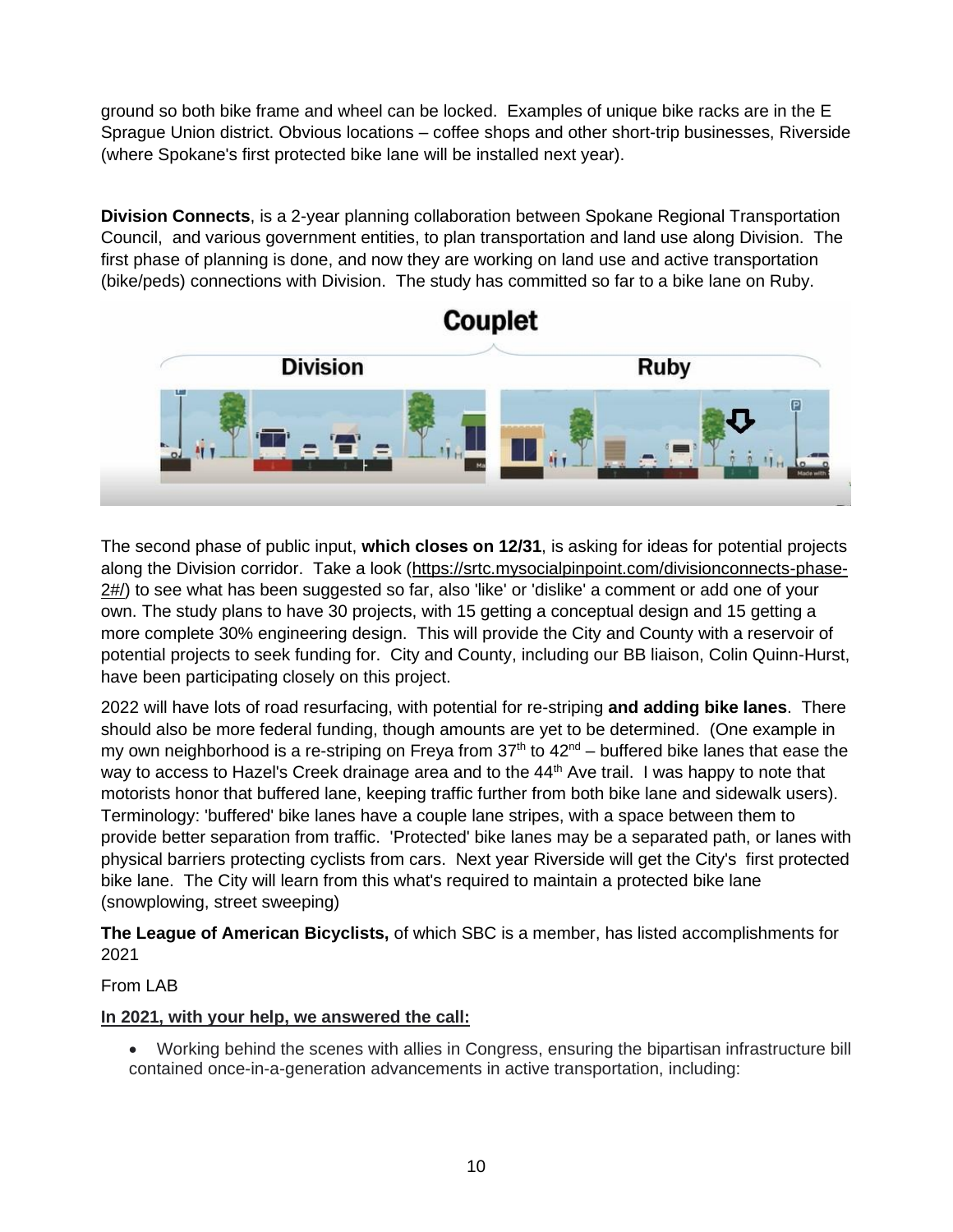ground so both bike frame and wheel can be locked. Examples of unique bike racks are in the E Sprague Union district. Obvious locations – coffee shops and other short-trip businesses, Riverside (where Spokane's first protected bike lane will be installed next year).

**Division Connects**, is a 2-year planning collaboration between Spokane Regional Transportation Council, and various government entities, to plan transportation and land use along Division. The first phase of planning is done, and now they are working on land use and active transportation (bike/peds) connections with Division. The study has committed so far to a bike lane on Ruby.



The second phase of public input, **which closes on 12/31**, is asking for ideas for potential projects along the Division corridor. Take a look [\(https://srtc.mysocialpinpoint.com/divisionconnects-phase-](https://srtc.mysocialpinpoint.com/divisionconnects-phase-2#/)[2#/\)](https://srtc.mysocialpinpoint.com/divisionconnects-phase-2#/) to see what has been suggested so far, also 'like' or 'dislike' a comment or add one of your own. The study plans to have 30 projects, with 15 getting a conceptual design and 15 getting a more complete 30% engineering design. This will provide the City and County with a reservoir of potential projects to seek funding for. City and County, including our BB liaison, Colin Quinn-Hurst, have been participating closely on this project.

2022 will have lots of road resurfacing, with potential for re-striping **and adding bike lanes**. There should also be more federal funding, though amounts are yet to be determined. (One example in my own neighborhood is a re-striping on Freya from  $37<sup>th</sup>$  to  $42<sup>nd</sup>$  – buffered bike lanes that ease the way to access to Hazel's Creek drainage area and to the 44<sup>th</sup> Ave trail. I was happy to note that motorists honor that buffered lane, keeping traffic further from both bike lane and sidewalk users). Terminology: 'buffered' bike lanes have a couple lane stripes, with a space between them to provide better separation from traffic. 'Protected' bike lanes may be a separated path, or lanes with physical barriers protecting cyclists from cars. Next year Riverside will get the City's first protected bike lane. The City will learn from this what's required to maintain a protected bike lane (snowplowing, street sweeping)

**The League of American Bicyclists,** of which SBC is a member, has listed accomplishments for 2021

# From LAB

# **In 2021, with your help, we answered the call:**

• Working behind the scenes with allies in Congress, ensuring the bipartisan infrastructure bill contained once-in-a-generation advancements in active transportation, including: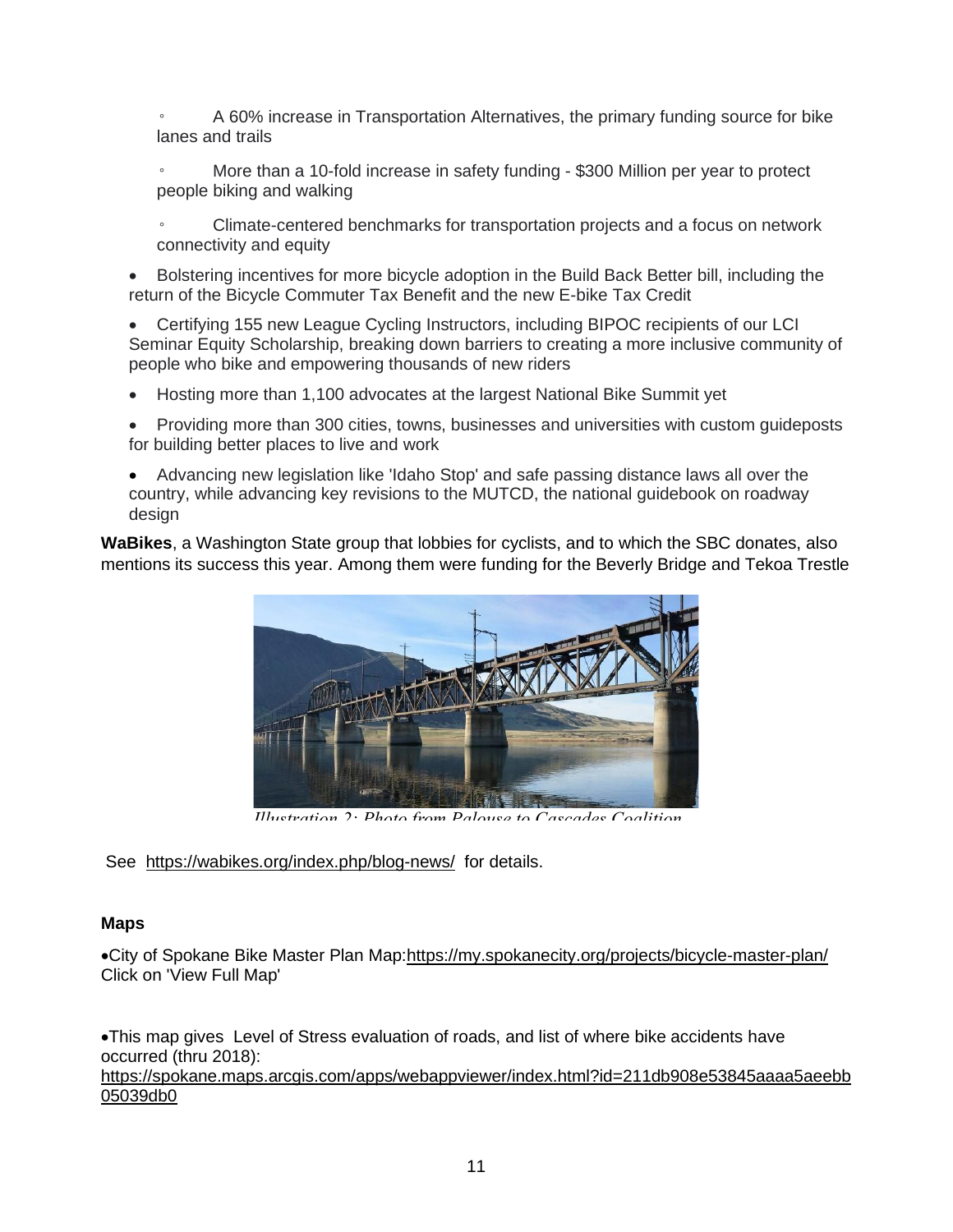A 60% increase in Transportation Alternatives, the primary funding source for bike lanes and trails

More than a 10-fold increase in safety funding - \$300 Million per year to protect people biking and walking

◦ Climate-centered benchmarks for transportation projects and a focus on network connectivity and equity

• Bolstering incentives for more bicycle adoption in the Build Back Better bill, including the return of the Bicycle Commuter Tax Benefit and the new E-bike Tax Credit

• Certifying 155 new League Cycling Instructors, including BIPOC recipients of our LCI Seminar Equity Scholarship, breaking down barriers to creating a more inclusive community of people who bike and empowering thousands of new riders

• Hosting more than 1,100 advocates at the largest National Bike Summit yet

• Providing more than 300 cities, towns, businesses and universities with custom guideposts for building better places to live and work

• Advancing new legislation like 'Idaho Stop' and safe passing distance laws all over the country, while advancing key revisions to the MUTCD, the national guidebook on roadway design

**WaBikes**, a Washington State group that lobbies for cyclists, and to which the SBC donates, also mentions its success this year. Among them were funding for the Beverly Bridge and Tekoa Trestle



*Illustration 2: Photo from Palouse to Cascades Coalition*

See <https://wabikes.org/index.php/blog-news/>for details.

### **Maps**

•City of Spokane Bike Master Plan Map[:https://my.spokanecity.org/projects/bicycle-master-plan/](https://my.spokanecity.org/projects/bicycle-master-plan/) Click on 'View Full Map'

•This map gives Level of Stress evaluation of roads, and list of where bike accidents have occurred (thru 2018):

[https://spokane.maps.arcgis.com/apps/webappviewer/index.html?id=211db908e53845aaaa5aeebb](https://spokane.maps.arcgis.com/apps/webappviewer/index.html?id=211db908e53845aaaa5aeebb05039db0) [05039db0](https://spokane.maps.arcgis.com/apps/webappviewer/index.html?id=211db908e53845aaaa5aeebb05039db0)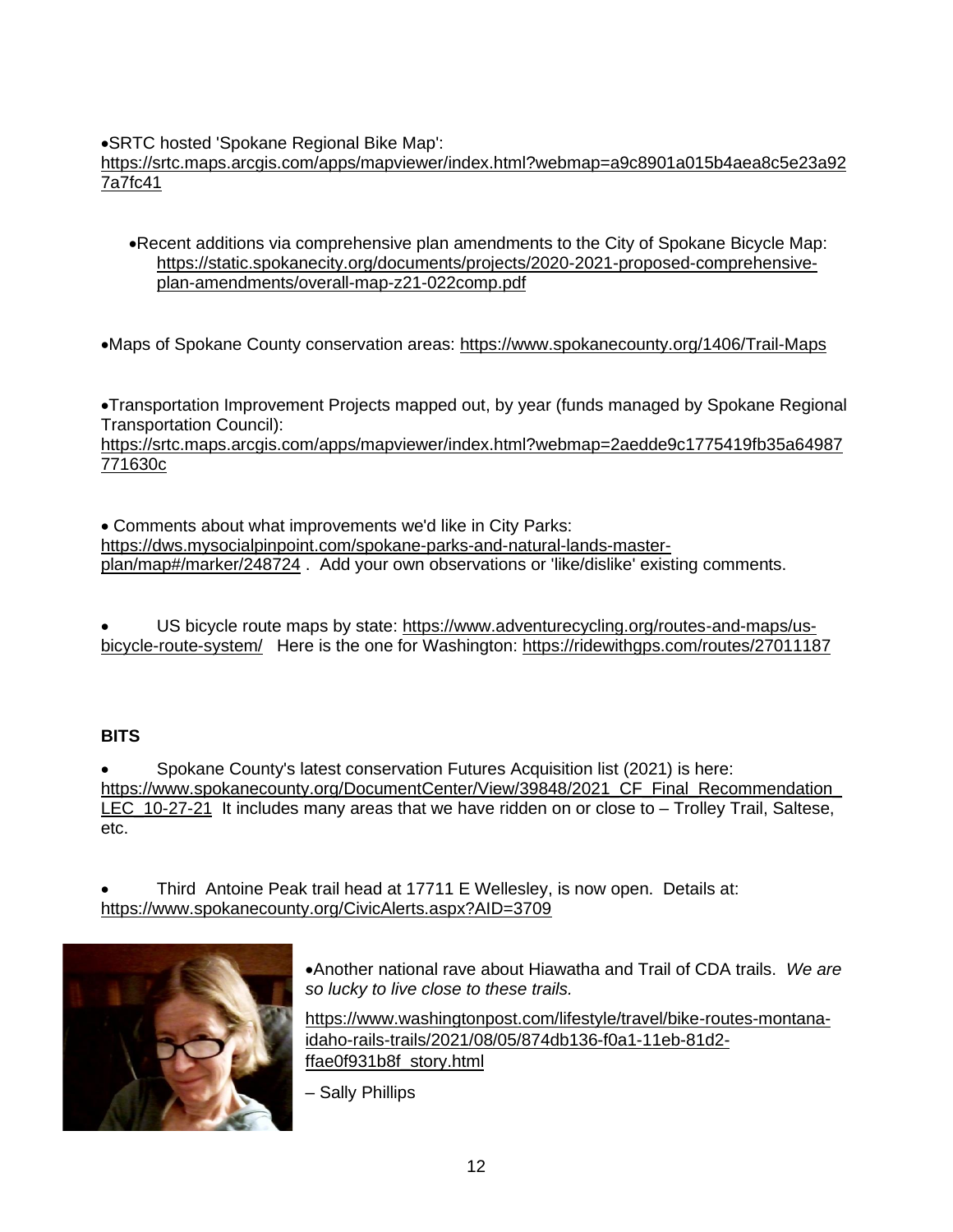•SRTC hosted 'Spokane Regional Bike Map':

[https://srtc.maps.arcgis.com/apps/mapviewer/index.html?webmap=a9c8901a015b4aea8c5e23a92](https://srtc.maps.arcgis.com/apps/mapviewer/index.html?webmap=a9c8901a015b4aea8c5e23a927a7fc41) [7a7fc41](https://srtc.maps.arcgis.com/apps/mapviewer/index.html?webmap=a9c8901a015b4aea8c5e23a927a7fc41)

•Recent additions via comprehensive plan amendments to the City of Spokane Bicycle Map: [https://static.spokanecity.org/documents/projects/2020-2021-proposed-comprehensive](https://static.spokanecity.org/documents/projects/2020-2021-proposed-comprehensive-plan-amendments/overall-map-z21-022comp.pdf)[plan-amendments/overall-map-z21-022comp.pdf](https://static.spokanecity.org/documents/projects/2020-2021-proposed-comprehensive-plan-amendments/overall-map-z21-022comp.pdf)

•Maps of Spokane County conservation areas:<https://www.spokanecounty.org/1406/Trail-Maps>

•Transportation Improvement Projects mapped out, by year (funds managed by Spokane Regional Transportation Council):

[https://srtc.maps.arcgis.com/apps/mapviewer/index.html?webmap=2aedde9c1775419fb35a64987](https://srtc.maps.arcgis.com/apps/mapviewer/index.html?webmap=2aedde9c1775419fb35a64987771630c) [771630c](https://srtc.maps.arcgis.com/apps/mapviewer/index.html?webmap=2aedde9c1775419fb35a64987771630c)

• Comments about what improvements we'd like in City Parks: [https://dws.mysocialpinpoint.com/spokane-parks-and-natural-lands-master](https://dws.mysocialpinpoint.com/spokane-parks-and-natural-lands-master-plan/map#/marker/248724)[plan/map#/marker/248724](https://dws.mysocialpinpoint.com/spokane-parks-and-natural-lands-master-plan/map#/marker/248724) . Add your own observations or 'like/dislike' existing comments.

• US bicycle route maps by state: [https://www.adventurecycling.org/routes-and-maps/us](https://www.adventurecycling.org/routes-and-maps/us-bicycle-route-system/)[bicycle-route-system/](https://www.adventurecycling.org/routes-and-maps/us-bicycle-route-system/) Here is the one for Washington:<https://ridewithgps.com/routes/27011187>

# **BITS**

• Spokane County's latest conservation Futures Acquisition list (2021) is here: https://www.spokanecounty.org/DocumentCenter/View/39848/2021\_CF\_Final\_Recommendation [LEC\\_10-27-21](https://www.spokanecounty.org/DocumentCenter/View/39848/2021_CF_Final_Recommendation_LEC_10-27-21) It includes many areas that we have ridden on or close to – Trolley Trail, Saltese, etc.

• Third Antoine Peak trail head at 17711 E Wellesley, is now open. Details at: <https://www.spokanecounty.org/CivicAlerts.aspx?AID=3709>



•Another national rave about Hiawatha and Trail of CDA trails. *We are so lucky to live close to these trails.*

[https://www.washingtonpost.com/lifestyle/travel/bike-routes-montana](https://www.washingtonpost.com/lifestyle/travel/bike-routes-montana-idaho-rails-trails/2021/08/05/874db136-f0a1-11eb-81d2-ffae0f931b8f_story.html)[idaho-rails-trails/2021/08/05/874db136-f0a1-11eb-81d2](https://www.washingtonpost.com/lifestyle/travel/bike-routes-montana-idaho-rails-trails/2021/08/05/874db136-f0a1-11eb-81d2-ffae0f931b8f_story.html) [ffae0f931b8f\\_story.html](https://www.washingtonpost.com/lifestyle/travel/bike-routes-montana-idaho-rails-trails/2021/08/05/874db136-f0a1-11eb-81d2-ffae0f931b8f_story.html)

– Sally Phillips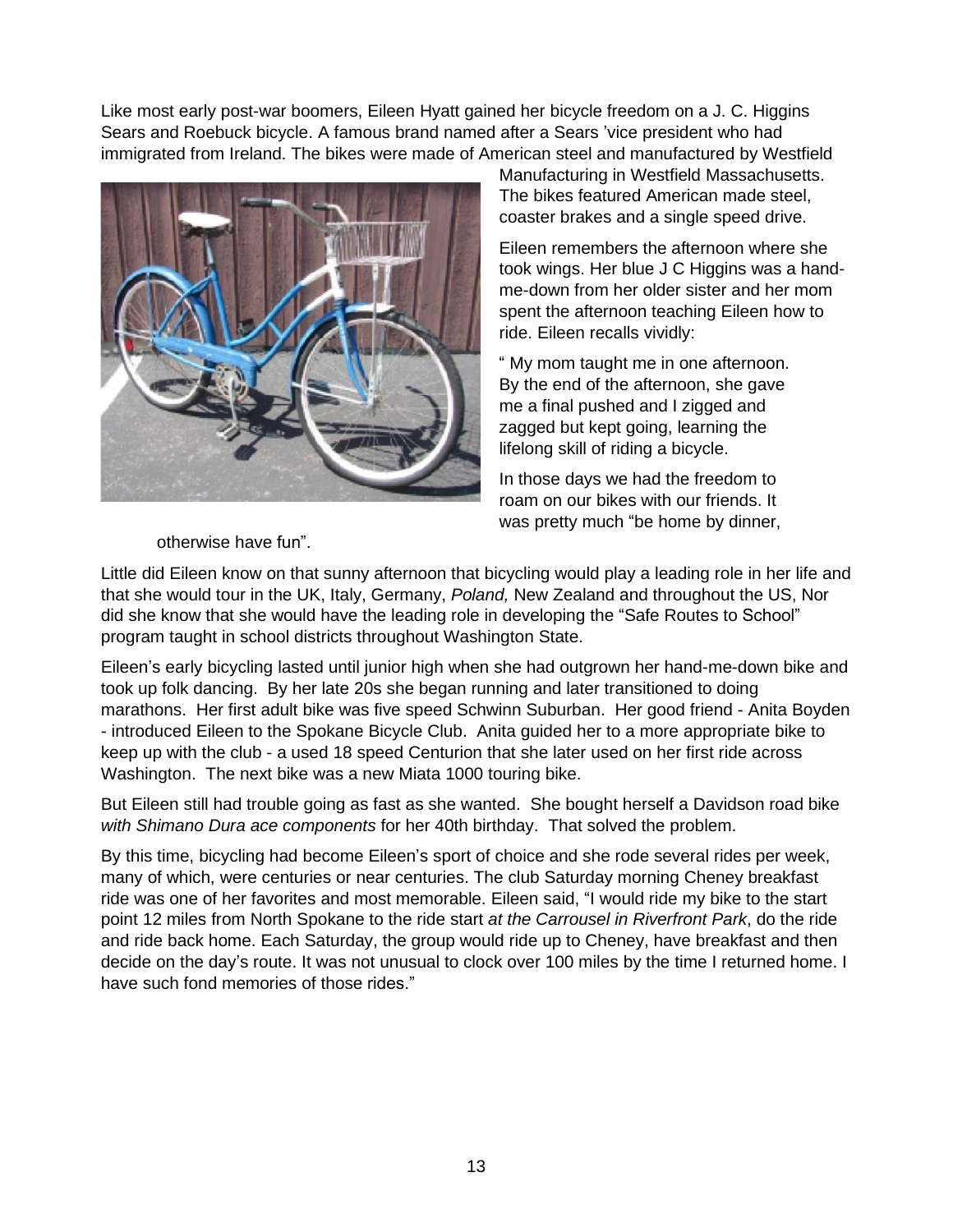<span id="page-12-0"></span>Like most early post-war boomers, Eileen Hyatt gained her bicycle freedom on a J. C. Higgins Sears and Roebuck bicycle. A famous brand named after a Sears 'vice president who had immigrated from Ireland. The bikes were made of American steel and manufactured by Westfield



Manufacturing in Westfield Massachusetts. The bikes featured American made steel, coaster brakes and a single speed drive.

Eileen remembers the afternoon where she took wings. Her blue J C Higgins was a handme-down from her older sister and her mom spent the afternoon teaching Eileen how to ride. Eileen recalls vividly:

 " My mom taught me in one afternoon. By the end of the afternoon, she gave me a final pushed and I zigged and zagged but kept going, learning the lifelong skill of riding a bicycle.

In those days we had the freedom to roam on our bikes with our friends. It was pretty much "be home by dinner,

otherwise have fun".

Little did Eileen know on that sunny afternoon that bicycling would play a leading role in her life and that she would tour in the UK, Italy, Germany, *Poland,* New Zealand and throughout the US, Nor did she know that she would have the leading role in developing the "Safe Routes to School" program taught in school districts throughout Washington State.

Eileen's early bicycling lasted until junior high when she had outgrown her hand-me-down bike and took up folk dancing. By her late 20s she began running and later transitioned to doing marathons. Her first adult bike was five speed Schwinn Suburban. Her good friend - Anita Boyden - introduced Eileen to the Spokane Bicycle Club. Anita guided her to a more appropriate bike to keep up with the club - a used 18 speed Centurion that she later used on her first ride across Washington. The next bike was a new Miata 1000 touring bike.

But Eileen still had trouble going as fast as she wanted. She bought herself a Davidson road bike *with Shimano Dura ace components* for her 40th birthday. That solved the problem.

By this time, bicycling had become Eileen's sport of choice and she rode several rides per week, many of which, were centuries or near centuries. The club Saturday morning Cheney breakfast ride was one of her favorites and most memorable. Eileen said, "I would ride my bike to the start point 12 miles from North Spokane to the ride start *at the Carrousel in Riverfront Park*, do the ride and ride back home. Each Saturday, the group would ride up to Cheney, have breakfast and then decide on the day's route. It was not unusual to clock over 100 miles by the time I returned home. I have such fond memories of those rides."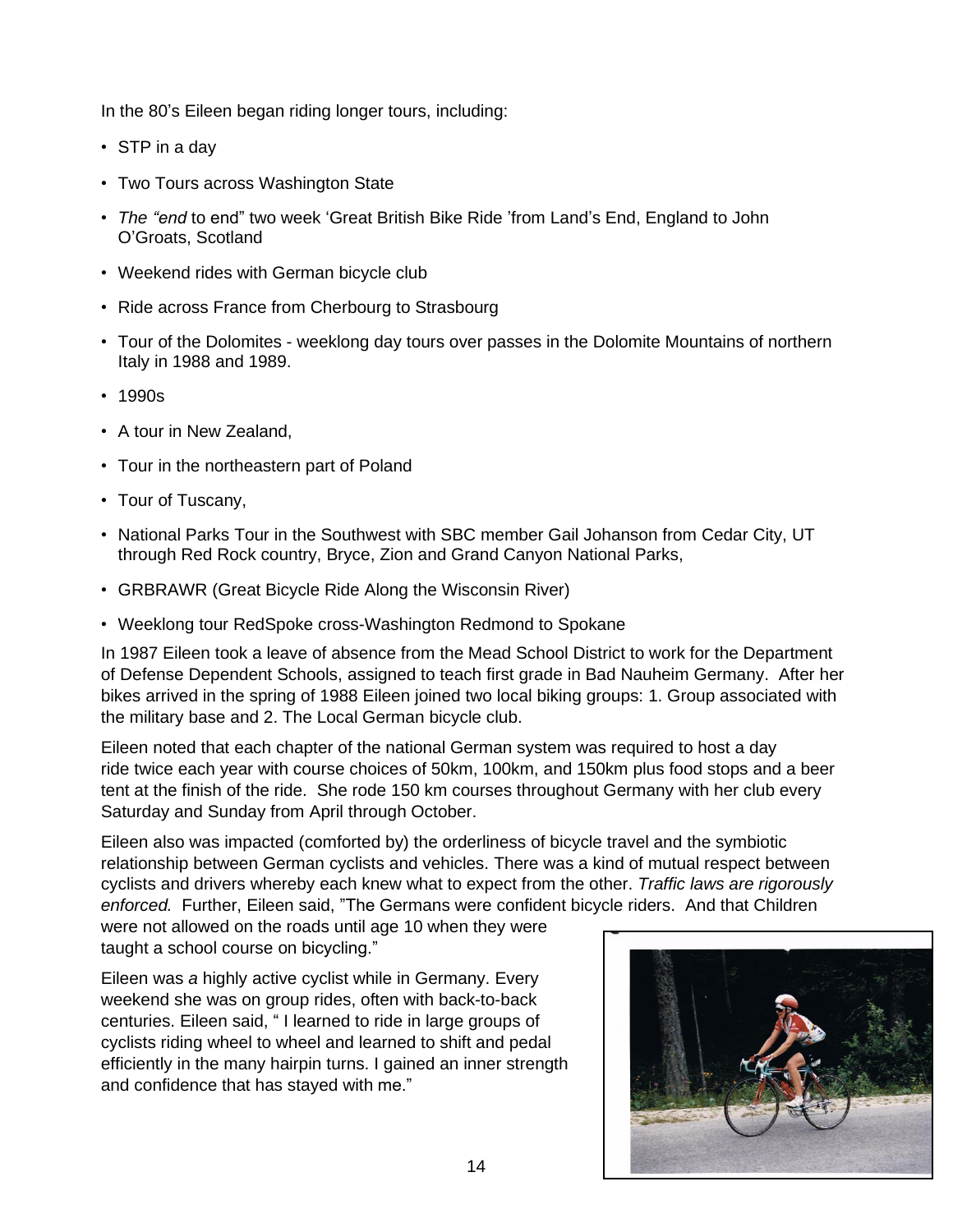In the 80's Eileen began riding longer tours, including:

- STP in a day
- Two Tours across Washington State
- *The "end* to end" two week 'Great British Bike Ride 'from Land's End, England to John O'Groats, Scotland
- Weekend rides with German bicycle club
- Ride across France from Cherbourg to Strasbourg
- Tour of the Dolomites weeklong day tours over passes in the Dolomite Mountains of northern Italy in 1988 and 1989.
- 1990s
- A tour in New Zealand,
- Tour in the northeastern part of Poland
- Tour of Tuscany,
- National Parks Tour in the Southwest with SBC member Gail Johanson from Cedar City, UT through Red Rock country, Bryce, Zion and Grand Canyon National Parks,
- GRBRAWR (Great Bicycle Ride Along the Wisconsin River)
- Weeklong tour RedSpoke cross-Washington Redmond to Spokane

In 1987 Eileen took a leave of absence from the Mead School District to work for the Department of Defense Dependent Schools, assigned to teach first grade in Bad Nauheim Germany. After her bikes arrived in the spring of 1988 Eileen joined two local biking groups: 1. Group associated with the military base and 2. The Local German bicycle club.

Eileen noted that each chapter of the national German system was required to host a day ride twice each year with course choices of 50km, 100km, and 150km plus food stops and a beer tent at the finish of the ride. She rode 150 km courses throughout Germany with her club every Saturday and Sunday from April through October.

Eileen also was impacted (comforted by) the orderliness of bicycle travel and the symbiotic relationship between German cyclists and vehicles. There was a kind of mutual respect between cyclists and drivers whereby each knew what to expect from the other. *Traffic laws are rigorously enforced.* Further, Eileen said, "The Germans were confident bicycle riders. And that Children

were not allowed on the roads until age 10 when they were taught a school course on bicycling."

Eileen was *a* highly active cyclist while in Germany. Every weekend she was on group rides, often with back-to-back centuries. Eileen said, " I learned to ride in large groups of cyclists riding wheel to wheel and learned to shift and pedal efficiently in the many hairpin turns. I gained an inner strength and confidence that has stayed with me."

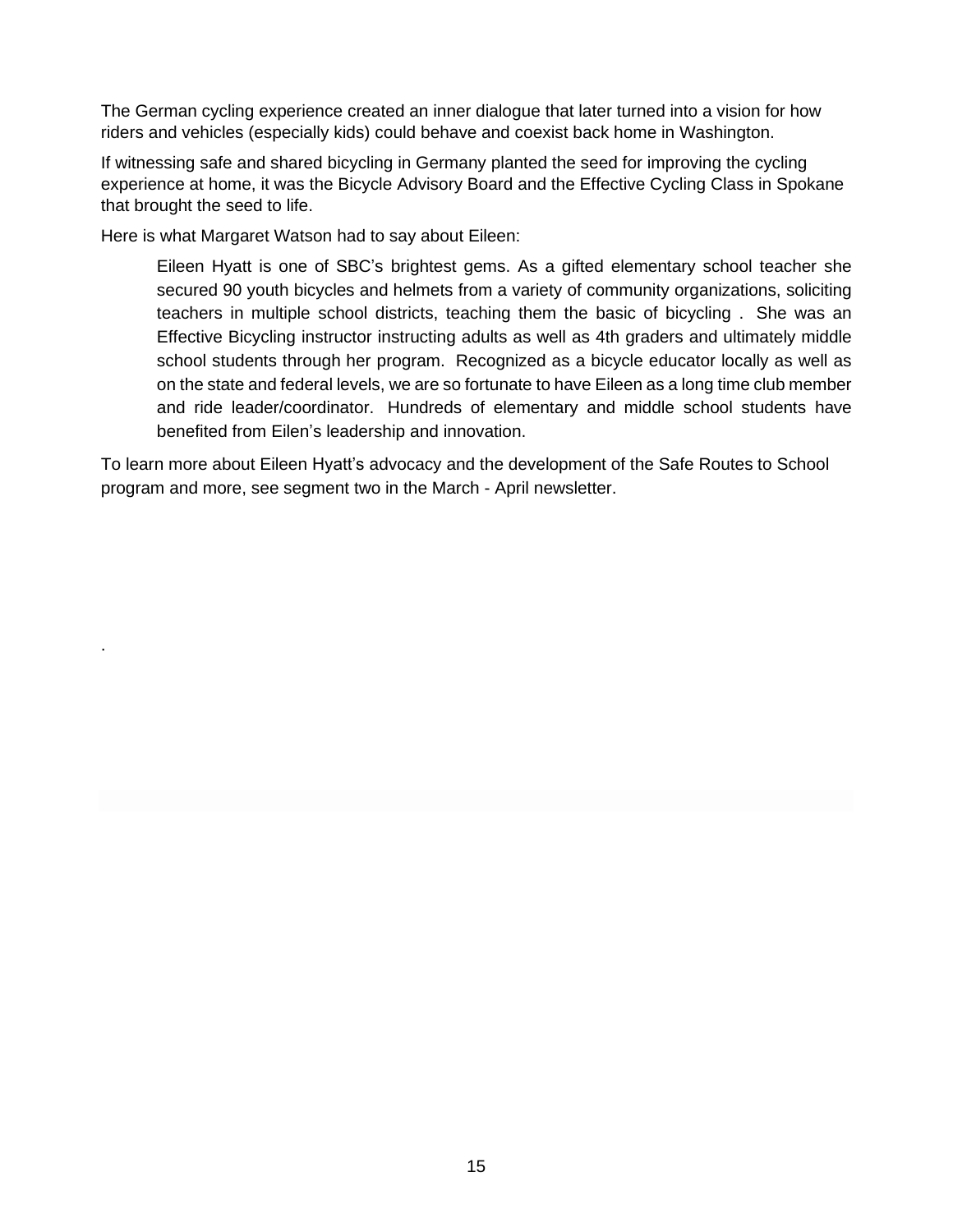The German cycling experience created an inner dialogue that later turned into a vision for how riders and vehicles (especially kids) could behave and coexist back home in Washington.

If witnessing safe and shared bicycling in Germany planted the seed for improving the cycling experience at home, it was the Bicycle Advisory Board and the Effective Cycling Class in Spokane that brought the seed to life.

Here is what Margaret Watson had to say about Eileen:

.

Eileen Hyatt is one of SBC's brightest gems. As a gifted elementary school teacher she secured 90 youth bicycles and helmets from a variety of community organizations, soliciting teachers in multiple school districts, teaching them the basic of bicycling . She was an Effective Bicycling instructor instructing adults as well as 4th graders and ultimately middle school students through her program. Recognized as a bicycle educator locally as well as on the state and federal levels, we are so fortunate to have Eileen as a long time club member and ride leader/coordinator. Hundreds of elementary and middle school students have benefited from Eilen's leadership and innovation.

To learn more about Eileen Hyatt's advocacy and the development of the Safe Routes to School program and more, see segment two in the March - April newsletter.